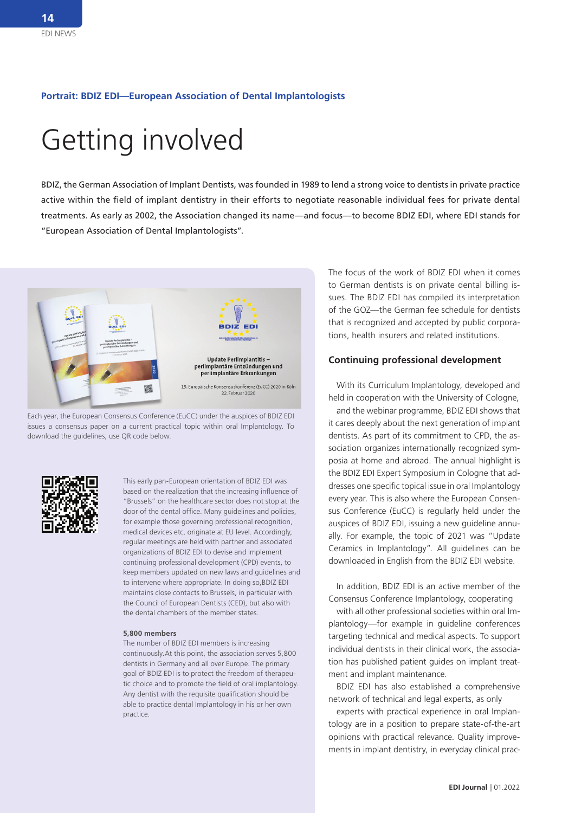#### **Portrait: BDIZ EDI—European Association of Dental Implantologists**

# Getting involved

BDIZ, the German Association of Implant Dentists, was founded in 1989 to lend a strong voice to dentists in private practice active within the field of implant dentistry in their efforts to negotiate reasonable individual fees for private dental treatments. As early as 2002, the Association changed its name—and focus—to become BDIZ EDI, where EDI stands for "European Association of Dental Implantologists".



Each year, the European Consensus Conference (EuCC) under the auspices of BDIZ EDI issues a consensus paper on a current practical topic within oral Implantology. To download the guidelines, use QR code below.



This early pan-European orientation of BDIZ EDI was based on the realization that the increasing influence of "Brussels" on the healthcare sector does not stop at the door of the dental office. Many guidelines and policies, for example those governing professional recognition, medical devices etc, originate at EU level. Accordingly, regular meetings are held with partner and associated organizations of BDIZ EDI to devise and implement continuing professional development (CPD) events, to keep members updated on new laws and guidelines and to intervene where appropriate. In doing so,BDIZ EDI maintains close contacts to Brussels, in particular with the Council of European Dentists (CED), but also with the dental chambers of the member states.

#### **5,800 members**

The number of BDIZ EDI members is increasing continuously.At this point, the association serves 5,800 dentists in Germany and all over Europe. The primary goal of BDIZ EDI is to protect the freedom of therapeutic choice and to promote the field of oral implantology. Any dentist with the requisite qualification should be able to practice dental Implantology in his or her own practice.

The focus of the work of BDIZ EDI when it comes to German dentists is on private dental billing issues. The BDIZ EDI has compiled its interpretation of the GOZ—the German fee schedule for dentists that is recognized and accepted by public corporations, health insurers and related institutions.

#### **Continuing professional development**

With its Curriculum Implantology, developed and held in cooperation with the University of Cologne,

and the webinar programme, BDIZ EDI shows that it cares deeply about the next generation of implant dentists. As part of its commitment to CPD, the association organizes internationally recognized symposia at home and abroad. The annual highlight is the BDIZ EDI Expert Symposium in Cologne that addresses one specific topical issue in oral Implantology every year. This is also where the European Consensus Conference (EuCC) is regularly held under the auspices of BDIZ EDI, issuing a new guideline annually. For example, the topic of 2021 was "Update Ceramics in Implantology". All guidelines can be downloaded in English from the BDIZ EDI website.

In addition, BDIZ EDI is an active member of the Consensus Conference Implantology, cooperating

with all other professional societies within oral Implantology—for example in guideline conferences targeting technical and medical aspects. To support individual dentists in their clinical work, the association has published patient guides on implant treatment and implant maintenance.

BDIZ EDI has also established a comprehensive network of technical and legal experts, as only

experts with practical experience in oral Implantology are in a position to prepare state-of-the-art opinions with practical relevance. Quality improvements in implant dentistry, in everyday clinical prac-